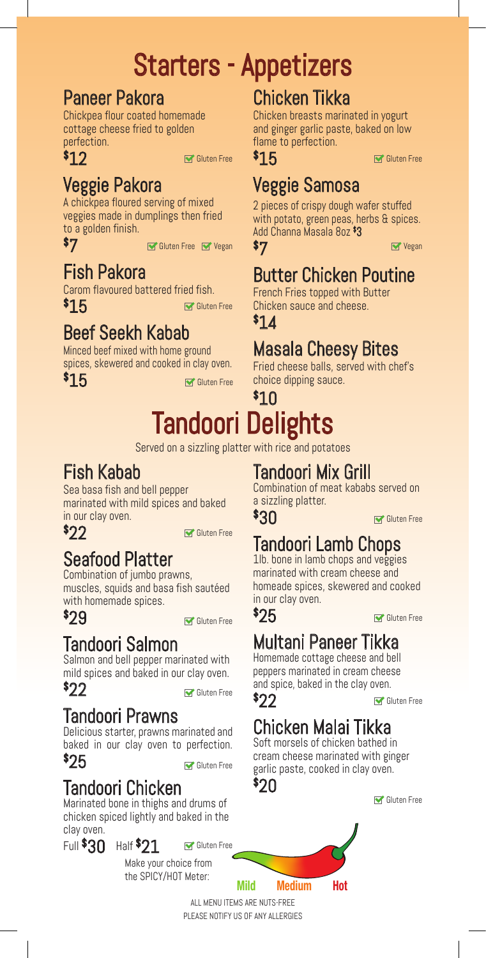# Starters - Appetizers

### Paneer Pakora

Chickpea flour coated homemade cottage cheese fried to golden perfection.

Gluten Free

## Veggie Pakora

A chickpea floured serving of mixed veggies made in dumplings then fried to a golden finish.

\$ 7

\$ 12

**Soluten Free Soluten Free Vegan** Vegan Strategies Soluten Free Soluten Avegan Strategies and Soluten Transaction

## Fish Pakora

Carom flavoured battered fried fish. \$ 15 Gluten Free

## Beef Seekh Kabab

Minced beef mixed with home ground spices, skewered and cooked in clay oven.

\$ 15

Gluten Free

## Chicken Tikka

Chicken breasts marinated in yogurt and ginger garlic paste, baked on low flame to perfection.

\$ 15

Gluten Free

## Veggie Samosa

2 pieces of crispy dough wafer stuffed with potato, green peas, herbs & spices. Add Channa Masala 8oz \$ 3 \$ 7

## Butter Chicken Poutine

French Fries topped with Butter Chicken sauce and cheese.

\$ 14

## Masala Cheesy Bites

Fried cheese balls, served with chef's choice dipping sauce.

## $$10$ Tandoori Delights

Served on a sizzling platter with rice and potatoes

## Fish Kabab

Sea basa fish and bell pepper marinated with mild spices and baked in our clay oven.

\$ 22

Gluten Free

## Seafood Platter

Combination of jumbo prawns, muscles, squids and basa fish sautéed with homemade spices.

\$ 29

Gluten Free

### Tandoori Salmon

Salmon and bell pepper marinated with mild spices and baked in our clay oven. \$ 22

Gluten Free

### Tandoori Prawns

Delicious starter, prawns marinated and baked in our clay oven to perfection.

### \$ 25

Gluten Free

Gluten Free

### Tandoori Chicken

Marinated bone in thighs and drums of chicken spiced lightly and baked in the clay oven.

Full  $$30$  Half  $$21$ 

Make your choice from the SPICY/HOT Meter:

Tandoori Mix Grill

Combination of meat kababs served on a sizzling platter.

\$ 30

Gluten Free

## Tandoori Lamb Chops

1lb. bone in lamb chops and veggies marinated with cream cheese and homeade spices, skewered and cooked in our clay oven.

\$ 25

Gluten Free

## Multani Paneer Tikka

Homemade cottage cheese and bell peppers marinated in cream cheese and spice, baked in the clay oven.

Gluten Free

## Chicken Malai Tikka

Soft morsels of chicken bathed in cream cheese marinated with ginger garlic paste, cooked in clay oven.



\$ 22



Mild Medium Hot

ALL MENU ITEMS ARE NUTS-FREE PLEASE NOTIFY US OF ANY ALLERGIES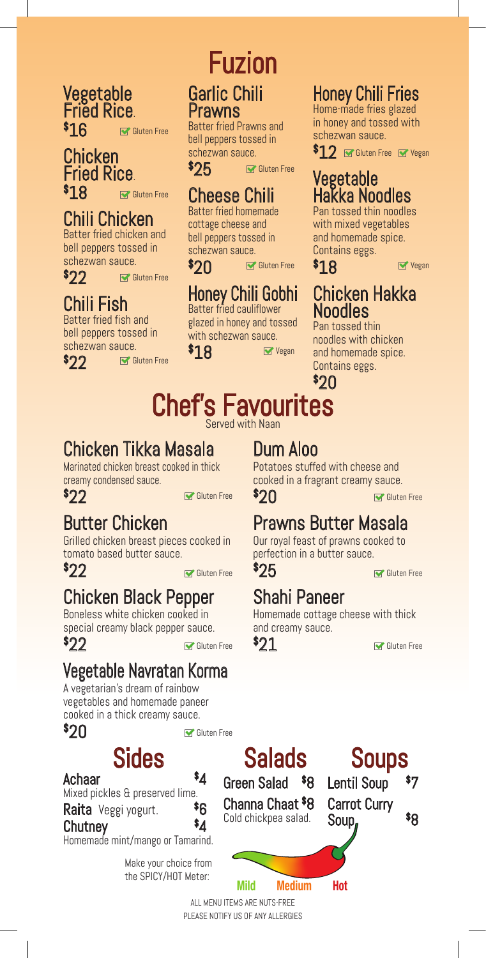**Vegetable** Fried Rice. \$ 16 Gluten Free

### Chicken Fried Rice. \$ 18

Gluten Free

### Chili Chicken

Batter fried chicken and bell peppers tossed in schezwan sauce. Gluten Free

\$ 22

### Chili Fish

Batter fried fish and bell peppers tossed in schezwan sauce.

\$ 22

Gluten Free

# Fuzion Garlic Chili

# Prawns

Batter fried Prawns and bell peppers tossed in schezwan sauce.

\$ 25 Gluten Free

### Cheese Chili

Batter fried homemade cottage cheese and bell peppers tossed in schezwan sauce.

\$ 20 Gluten Free

### Honey Chili Gobhi Batter fried cauliflower

glazed in honey and tossed with schezwan sauce. **Vegan** 

\$ 18

### Honey Chili Fries

Home-made fries glazed in honey and tossed with schezwan sauce.

 $\$12\,$   $\blacksquare$  Gluten Free  $\, \blacksquare$  Yegan

### Vegetable Hakka Noodles

Pan tossed thin noodles with mixed vegetables and homemade spice. Contains eggs.

\$ 18

**Vegan** 

### Chicken Hakka Noodles

Pan tossed thin noodles with chicken and homemade spice. Contains eggs.

\$ 20

### Chef's Favourites Served with Naan

## Chicken Tikka Masala

Marinated chicken breast cooked in thick creamy condensed sauce.

\$ 22

Gluten Free  $\mathbb{S}$  O  $\cap$  Gluten Free

## Butter Chicken

Grilled chicken breast pieces cooked in tomato based butter sauce.

\$ 22

Gluten Free <sup>V</sup>ZD **W** Gluten Free

## Chicken Black Pepper

Boneless white chicken cooked in special creamy black pepper sauce. \$ 22

## Vegetable Navratan Korma

A vegetarian's dream of rainbow vegetables and homemade paneer cooked in a thick creamy sauce.

Sides

\$ 20

Gluten Free

4

\$6

4

Achaar

Mixed pickles & preserved lime.

Raita Veggi yogurt.

### Chutney

Homemade mint/mango or Tamarind.

Make your choice from the SPICY/HOT Meter:

## Dum Aloo

Potatoes stuffed with cheese and cooked in a fragrant creamy sauce. \$ 20

## Prawns Butter Masala

Our royal feast of prawns cooked to perfection in a butter sauce.

\$ 25

## Shahi Paneer

Homemade cottage cheese with thick and creamy sauce.

\$ 21

Salads Green Salad \$ 8 Channa Chaat \$ 8 Cold chickpea salad. Carrot Curry Soup,



 $$8$ 

Mild Medium Hot

ALL MENU ITEMS ARE NUTS-FREE PLEASE NOTIFY US OF ANY ALLERGIES

Gluten Free <sup>T</sup>/1 Gluten Free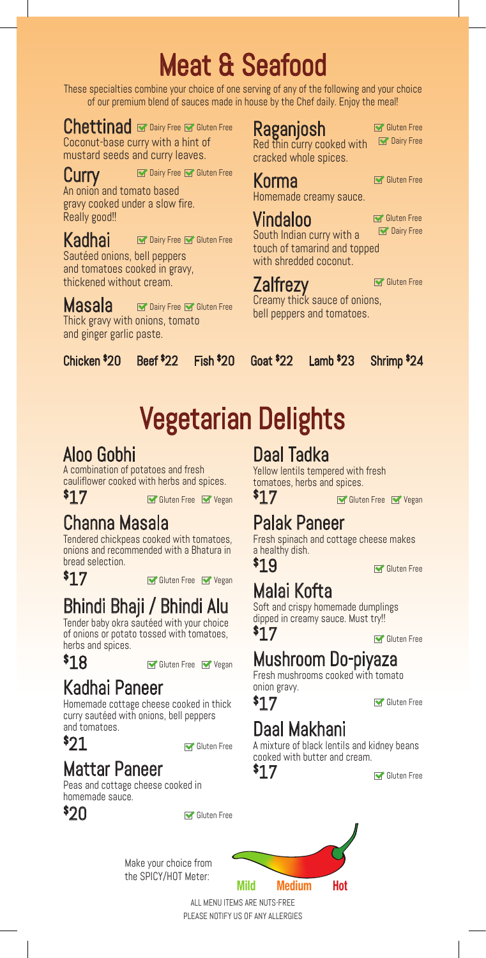# Meat & Seafood

These specialties combine your choice of one serving of any of the following and your choice of our premium blend of sauces made in house by the Chef daily. Enjoy the meal!

Raganjosh

Korma

Vindaloo

**Zalfrezy** 

Red thin curry cooked with cracked whole spices.

Homemade creamy sauce.

South Indian curry with a touch of tamarind and topped with shredded coconut.

Chettinad **Ex Dairy Free Constant Free** Coconut-base curry with a hint of mustard seeds and curry leaves.

Curry An onion and tomato based gravy cooked under a slow fire. Really good!! Dairy Free **M** Gluten Free

### Dairy Free Mac Gluten Free

Sautéed onions, bell peppers and tomatoes cooked in gravy, thickened without cream.

Masala Thick gravy with onions, tomato and ginger garlic paste. Dairy Free **M** Gluten Free

Chicken \$

Kadhai

#### Beef  $$22$  $Fish$ \$20

 $6$ oat  $$22$ 

#### Lamb  $$23$ 23 Shrimp \$ 24

# Vegetarian Delights

### Aloo Gobhi

A combination of potatoes and fresh cauliflower cooked with herbs and spices.

\$ 17

Gluten Free Y Vegan  $\mathbf{F}$  Vegan  $\mathbf{F}$  Gluten Free Y Vegan

### Channa Masala

Tendered chickpeas cooked with tomatoes, onions and recommended with a Bhatura in bread selection.

\$ 17

Gluten Free Vegan

## Bhindi Bhaji / Bhindi Alu

Tender baby okra sautéed with your choice of onions or potato tossed with tomatoes, herbs and spices.

### \$ 18

Gluten Free Vegan

## Kadhai Paneer

Homemade cottage cheese cooked in thick curry sautéed with onions, bell peppers and tomatoes.

\$ 21

Gluten Free

## Mattar Paneer

Peas and cottage cheese cooked in homemade sauce.



Gluten Free

Make your choice from the SPICY/HOT Meter:

Daal Tadka

Yellow lentils tempered with fresh tomatoes, herbs and spices.

\$ 17

### Palak Paneer

Fresh spinach and cottage cheese makes a healthy dish.

\$ 19

Gluten Free

## Malai Kofta

Soft and crispy homemade dumplings dipped in creamy sauce. Must try!! \$ 17

Gluten Free

## Mushroom Do-piyaza

Fresh mushrooms cooked with tomato onion gravy.

Gluten Free

## Daal Makhani

A mixture of black lentils and kidney beans cooked with butter and cream.

\$ 17

\$ 17

Gluten Free



ALL MENU ITEMS ARE NUTS-FREE PLEASE NOTIFY US OF ANY ALLERGIES Gluten Free

**Dairy Free** 

Gluten Free

Creamy thick sauce of onions, bell peppers and tomatoes.

**Dairy Free** 

Gluten Free

Gluten Free